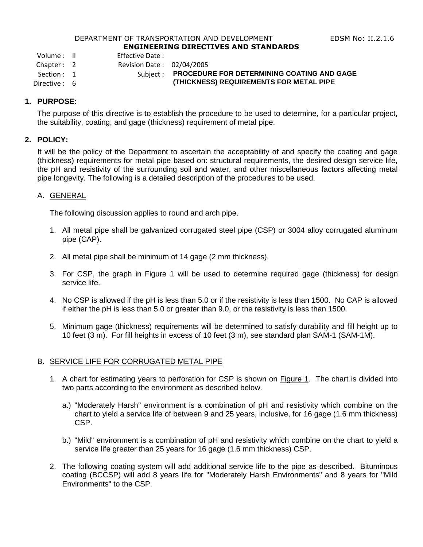#### DEPARTMENT OF TRANSPORTATION AND DEVELOPMENT FOR THE REDSM No: II.2.1.6 **ENGINEERING DIRECTIVES AND STANDARDS**

Volume : II Effective Date :

Chapter : 2 Revision Date : 02/04/2005

# Section : 1 Subject : **PROCEDURE FOR DETERMINING COATING AND GAGE**

Directive : 6 **(THICKNESS) REQUIREMENTS FOR METAL PIPE**

# **1. PURPOSE:**

The purpose of this directive is to establish the procedure to be used to determine, for a particular project, the suitability, coating, and gage (thickness) requirement of metal pipe.

## **2. POLICY:**

It will be the policy of the Department to ascertain the acceptability of and specify the coating and gage (thickness) requirements for metal pipe based on: structural requirements, the desired design service life, the pH and resistivity of the surrounding soil and water, and other miscellaneous factors affecting metal pipe longevity. The following is a detailed description of the procedures to be used.

## A. GENERAL

The following discussion applies to round and arch pipe.

- 1. All metal pipe shall be galvanized corrugated steel pipe (CSP) or 3004 alloy corrugated aluminum pipe (CAP).
- 2. All metal pipe shall be minimum of 14 gage (2 mm thickness).
- 3. For CSP, the graph in Figure 1 will be used to determine required gage (thickness) for design service life.
- 4. No CSP is allowed if the pH is less than 5.0 or if the resistivity is less than 1500. No CAP is allowed if either the pH is less than 5.0 or greater than 9.0, or the resistivity is less than 1500.
- 5. Minimum gage (thickness) requirements will be determined to satisfy durability and fill height up to 10 feet (3 m). For fill heights in excess of 10 feet (3 m), see standard plan SAM-1 (SAM-1M).

# B. SERVICE LIFE FOR CORRUGATED METAL PIPE

- 1. A chart for estimating years to perforation for CSP is shown on **Figure 1.** The chart is divided into two parts according to the environment as described below.
	- a.) "Moderately Harsh" environment is a combination of pH and resistivity which combine on the chart to yield a service life of between 9 and 25 years, inclusive, for 16 gage (1.6 mm thickness) CSP.
	- b.) "Mild" environment is a combination of pH and resistivity which combine on the chart to yield a service life greater than 25 years for 16 gage (1.6 mm thickness) CSP.
- 2. The following coating system will add additional service life to the pipe as described. Bituminous coating (BCCSP) will add 8 years life for "Moderately Harsh Environments" and 8 years for "Mild Environments" to the CSP.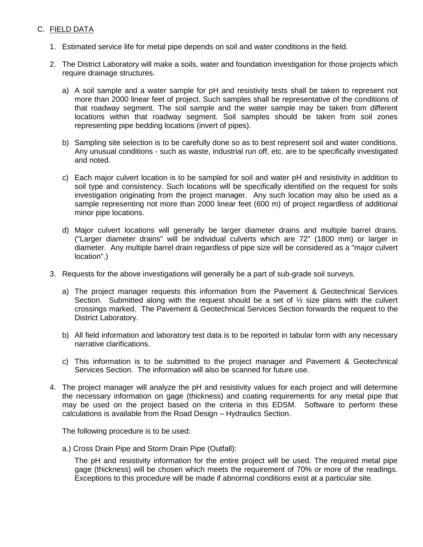# C. FIELD DATA

- 1. Estimated service life for metal pipe depends on soil and water conditions in the field.
- 2. The District Laboratory will make a soils, water and foundation investigation for those projects which require drainage structures.
	- a) A soil sample and a water sample for pH and resistivity tests shall be taken to represent not more than 2000 linear feet of project. Such samples shall be representative of the conditions of that roadway segment. The soil sample and the water sample may be taken from different locations within that roadway segment. Soil samples should be taken from soil zones representing pipe bedding locations (invert of pipes).
	- b) Sampling site selection is to be carefully done so as to best represent soil and water conditions. Any unusual conditions - such as waste, industrial run off, etc. are to be specifically investigated and noted.
	- c) Each major culvert location is to be sampled for soil and water pH and resistivity in addition to soil type and consistency. Such locations will be specifically identified on the request for soils investigation originating from the project manager. Any such location may also be used as a sample representing not more than 2000 linear feet (600 m) of project regardless of additional minor pipe locations.
	- d) Major culvert locations will generally be larger diameter drains and multiple barrel drains. ("Larger diameter drains" will be individual culverts which are 72" (1800 mm) or larger in diameter. Any multiple barrel drain regardless of pipe size will be considered as a "major culvert location".)
- 3. Requests for the above investigations will generally be a part of sub-grade soil surveys.
	- a) The project manager requests this information from the Pavement & Geotechnical Services Section. Submitted along with the request should be a set of  $\frac{1}{2}$  size plans with the culvert crossings marked. The Pavement & Geotechnical Services Section forwards the request to the District Laboratory.
	- b) All field information and laboratory test data is to be reported in tabular form with any necessary narrative clarifications.
	- c) This information is to be submitted to the project manager and Pavement & Geotechnical Services Section. The information will also be scanned for future use.
- 4. The project manager will analyze the pH and resistivity values for each project and will determine the necessary information on gage (thickness) and coating requirements for any metal pipe that may be used on the project based on the criteria in this EDSM. Software to perform these calculations is available from the Road Design – Hydraulics Section.

The following procedure is to be used:

a.) Cross Drain Pipe and Storm Drain Pipe (Outfall):

The pH and resistivity information for the entire project will be used. The required metal pipe gage (thickness) will be chosen which meets the requirement of 70% or more of the readings. Exceptions to this procedure will be made if abnormal conditions exist at a particular site.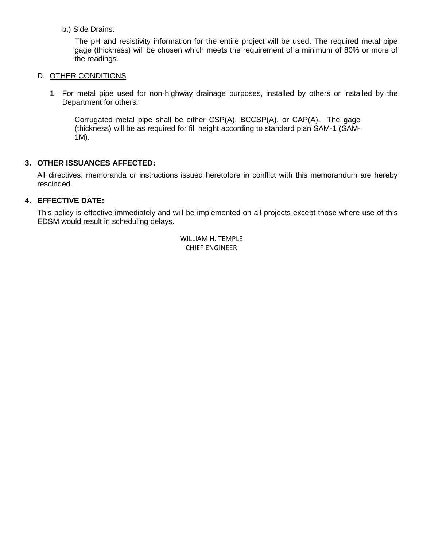## b.) Side Drains:

The pH and resistivity information for the entire project will be used. The required metal pipe gage (thickness) will be chosen which meets the requirement of a minimum of 80% or more of the readings.

#### D. OTHER CONDITIONS

1. For metal pipe used for non-highway drainage purposes, installed by others or installed by the Department for others:

Corrugated metal pipe shall be either CSP(A), BCCSP(A), or CAP(A). The gage (thickness) will be as required for fill height according to standard plan SAM-1 (SAM-1M).

## **3. OTHER ISSUANCES AFFECTED:**

All directives, memoranda or instructions issued heretofore in conflict with this memorandum are hereby rescinded.

## **4. EFFECTIVE DATE:**

This policy is effective immediately and will be implemented on all projects except those where use of this EDSM would result in scheduling delays.

> WILLIAM H. TEMPLE CHIEF ENGINEER